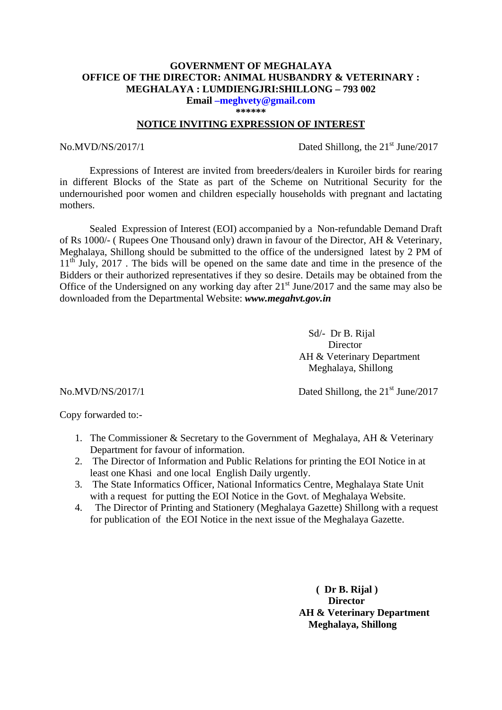## **GOVERNMENT OF MEGHALAYA OFFICE OF THE DIRECTOR: ANIMAL HUSBANDRY & VETERINARY : MEGHALAYA : LUMDIENGJRI:SHILLONG – 793 002**

**Email –meghvety@gmail.com \*\*\*\*\*\*** 

#### **NOTICE INVITING EXPRESSION OF INTEREST**

No.MVD/NS/2017/1 Dated Shillong, the  $21<sup>st</sup>$  June/2017

Expressions of Interest are invited from breeders/dealers in Kuroiler birds for rearing in different Blocks of the State as part of the Scheme on Nutritional Security for the undernourished poor women and children especially households with pregnant and lactating mothers.

Sealed Expression of Interest (EOI) accompanied by a Non-refundable Demand Draft of Rs 1000/- ( Rupees One Thousand only) drawn in favour of the Director, AH & Veterinary, Meghalaya, Shillong should be submitted to the office of the undersigned latest by 2 PM of  $11<sup>th</sup>$  July, 2017. The bids will be opened on the same date and time in the presence of the Bidders or their authorized representatives if they so desire. Details may be obtained from the Office of the Undersigned on any working day after  $21<sup>st</sup>$  June/2017 and the same may also be downloaded from the Departmental Website: *www.megahvt.gov.in* 

> Sd/- Dr B. Rijal Director AH & Veterinary Department Meghalaya, Shillong

No.MVD/NS/2017/1 Dated Shillong, the 21<sup>st</sup> June/2017

Copy forwarded to:-

- 1. The Commissioner & Secretary to the Government of Meghalaya, AH & Veterinary Department for favour of information.
- 2. The Director of Information and Public Relations for printing the EOI Notice in at least one Khasi and one local English Daily urgently.
- 3. The State Informatics Officer, National Informatics Centre, Meghalaya State Unit with a request for putting the EOI Notice in the Govt. of Meghalaya Website.
- 4. The Director of Printing and Stationery (Meghalaya Gazette) Shillong with a request for publication of the EOI Notice in the next issue of the Meghalaya Gazette.

 **( Dr B. Rijal ) Director AH & Veterinary Department Meghalaya, Shillong**